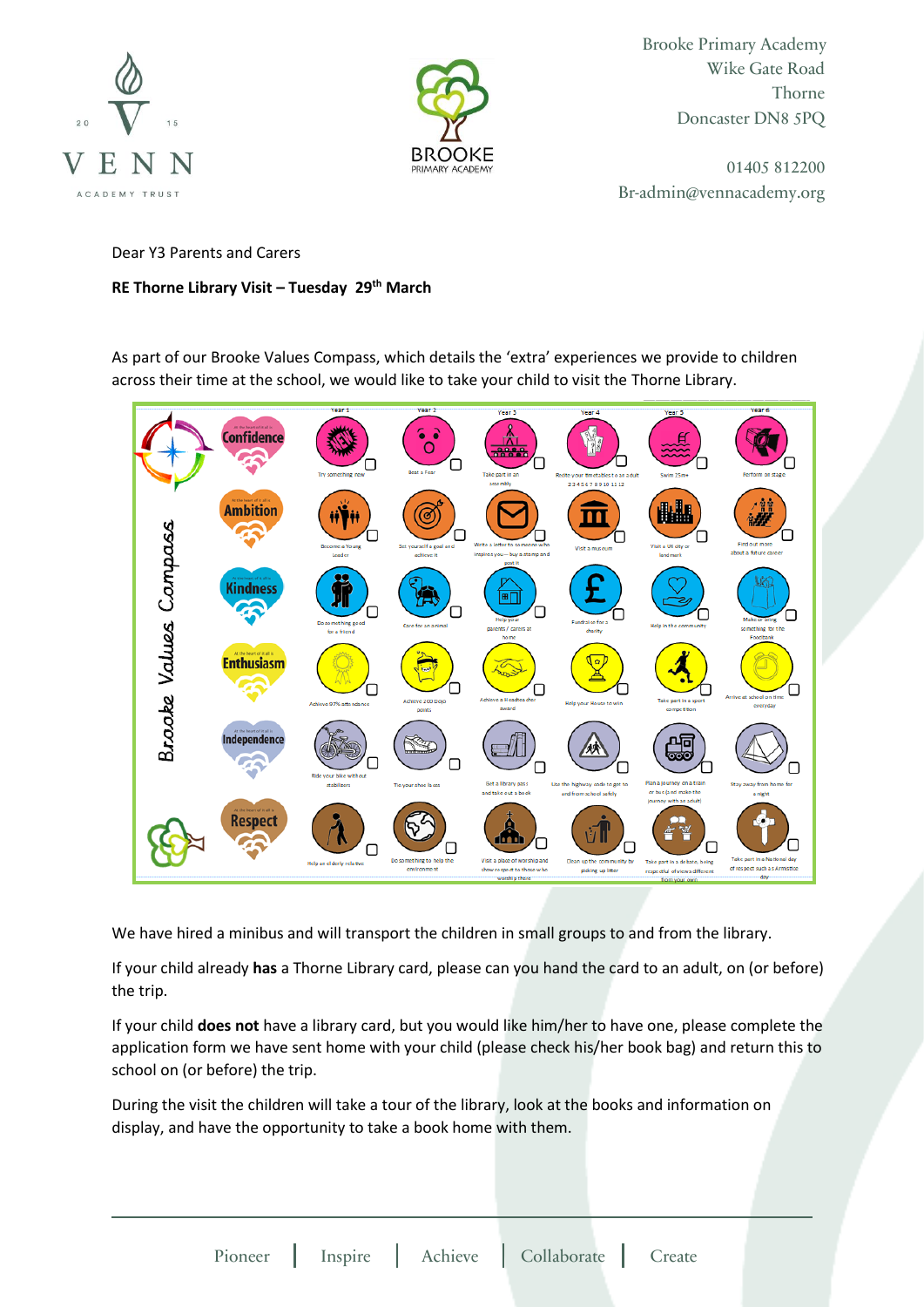



Brooke Primary Academy Wike Gate Road Thorne Doncaster DN8 5PQ

01405 812200 Br-admin@vennacademy.org

Dear Y3 Parents and Carers

## **RE Thorne Library Visit – Tuesday 29th March**

As part of our Brooke Values Compass, which details the 'extra' experiences we provide to children across their time at the school, we would like to take your child to visit the Thorne Library.



We have hired a minibus and will transport the children in small groups to and from the library.

If your child already **has** a Thorne Library card, please can you hand the card to an adult, on (or before) the trip.

If your child **does not** have a library card, but you would like him/her to have one, please complete the application form we have sent home with your child (please check his/her book bag) and return this to school on (or before) the trip.

During the visit the children will take a tour of the library, look at the books and information on display, and have the opportunity to take a book home with them.